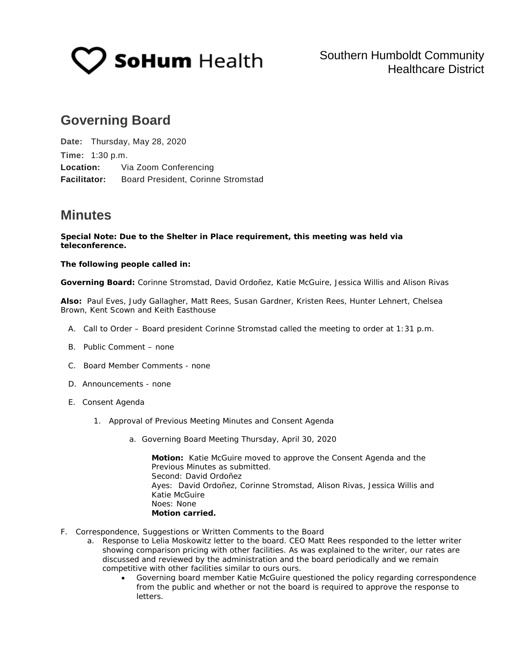

# **Governing Board**

**Date:** Thursday, May 28, 2020 **Time:** 1:30 p.m. **Location:** Via Zoom Conferencing **Facilitator:** Board President, Corinne Stromstad

## **Minutes**

**Special Note: Due to the Shelter in Place requirement, this meeting was held via teleconference.**

## **The following people called in:**

**Governing Board:** Corinne Stromstad, David Ordoñez, Katie McGuire, Jessica Willis and Alison Rivas

**Also:** Paul Eves, Judy Gallagher, Matt Rees, Susan Gardner, Kristen Rees, Hunter Lehnert, Chelsea Brown, Kent Scown and Keith Easthouse

- A. Call to Order Board president Corinne Stromstad called the meeting to order at 1:31 p.m.
- B. Public Comment none
- C. Board Member Comments none
- D. Announcements none
- E. Consent Agenda
	- 1. Approval of Previous Meeting Minutes and Consent Agenda
		- a. Governing Board Meeting Thursday, April 30, 2020

**Motion:** Katie McGuire moved to approve the Consent Agenda and the Previous Minutes as submitted. Second: David Ordoñez Ayes: David Ordoñez, Corinne Stromstad, Alison Rivas, Jessica Willis and Katie McGuire Noes: None **Motion carried.**

- F. Correspondence, Suggestions or Written Comments to the Board
	- a. Response to Lelia Moskowitz letter to the board. CEO Matt Rees responded to the letter writer showing comparison pricing with other facilities. As was explained to the writer, our rates are discussed and reviewed by the administration and the board periodically and we remain competitive with other facilities similar to ours ours.
		- Governing board member Katie McGuire questioned the policy regarding correspondence from the public and whether or not the board is required to approve the response to letters.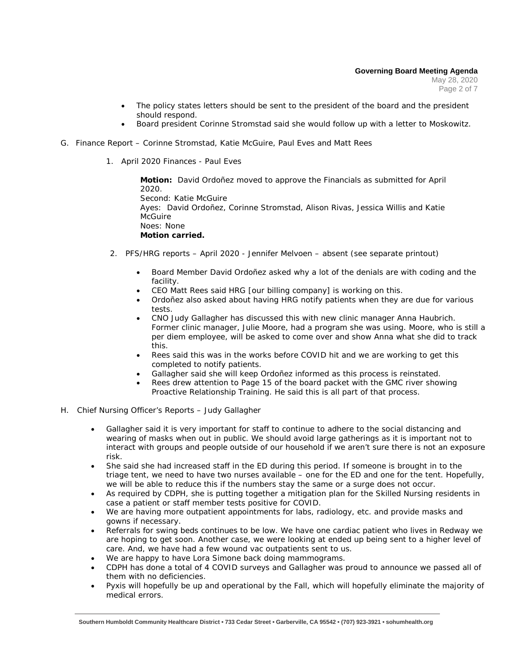May 28, 2020 Page 2 of 7

- The policy states letters should be sent to the president of the board and the president should respond.
- Board president Corinne Stromstad said she would follow up with a letter to Moskowitz.
- G. Finance Report Corinne Stromstad, Katie McGuire, Paul Eves and Matt Rees
	- 1. April 2020 Finances Paul Eves

**Motion:** David Ordoñez moved to approve the Financials as submitted for April 2020. Second: Katie McGuire Ayes: David Ordoñez, Corinne Stromstad, Alison Rivas, Jessica Willis and Katie **McGuire** Noes: None **Motion carried.**

- 2. PFS/HRG reports April 2020 Jennifer Melvoen absent (see separate printout)
	- Board Member David Ordoñez asked why a lot of the denials are with coding and the facility.
	- CEO Matt Rees said HRG [our billing company] is working on this.
	- Ordoñez also asked about having HRG notify patients when they are due for various tests.
	- CNO Judy Gallagher has discussed this with new clinic manager Anna Haubrich. Former clinic manager, Julie Moore, had a program she was using. Moore, who is still a per diem employee, will be asked to come over and show Anna what she did to track this.
	- Rees said this was in the works before COVID hit and we are working to get this completed to notify patients.
	- Gallagher said she will keep Ordoñez informed as this process is reinstated.
	- Rees drew attention to Page 15 of the board packet with the GMC river showing Proactive Relationship Training. He said this is all part of that process.
- H. Chief Nursing Officer's Reports Judy Gallagher
	- Gallagher said it is very important for staff to continue to adhere to the social distancing and wearing of masks when out in public. We should avoid large gatherings as it is important not to interact with groups and people outside of our household if we aren't sure there is not an exposure risk.
	- She said she had increased staff in the ED during this period. If someone is brought in to the triage tent, we need to have two nurses available – one for the ED and one for the tent. Hopefully, we will be able to reduce this if the numbers stay the same or a surge does not occur.
	- As required by CDPH, she is putting together a mitigation plan for the Skilled Nursing residents in case a patient or staff member tests positive for COVID.
	- We are having more outpatient appointments for labs, radiology, etc. and provide masks and gowns if necessary.
	- Referrals for swing beds continues to be low. We have one cardiac patient who lives in Redway we are hoping to get soon. Another case, we were looking at ended up being sent to a higher level of care. And, we have had a few wound vac outpatients sent to us.
	- We are happy to have Lora Simone back doing mammograms.
	- CDPH has done a total of 4 COVID surveys and Gallagher was proud to announce we passed all of them with no deficiencies.
	- Pyxis will hopefully be up and operational by the Fall, which will hopefully eliminate the majority of medical errors.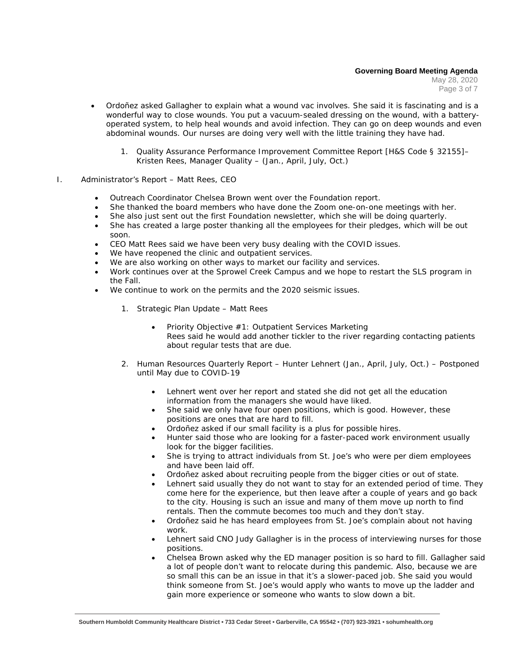May 28, 2020 Page 3 of 7

- Ordoñez asked Gallagher to explain what a wound vac involves. She said it is fascinating and is a wonderful way to close wounds. You put a vacuum-sealed dressing on the wound, with a batteryoperated system, to help heal wounds and avoid infection. They can go on deep wounds and even abdominal wounds. Our nurses are doing very well with the little training they have had.
	- 1. Quality Assurance Performance Improvement Committee Report [H&S Code § 32155]– Kristen Rees, Manager Quality – (Jan., April, July, Oct.)
- I. Administrator's Report Matt Rees, CEO
	- Outreach Coordinator Chelsea Brown went over the Foundation report.
	- She thanked the board members who have done the Zoom one-on-one meetings with her.
	- She also just sent out the first Foundation newsletter, which she will be doing quarterly.
	- She has created a large poster thanking all the employees for their pledges, which will be out soon.
	- CEO Matt Rees said we have been very busy dealing with the COVID issues.
	- We have reopened the clinic and outpatient services.
	- We are also working on other ways to market our facility and services.
	- Work continues over at the Sprowel Creek Campus and we hope to restart the SLS program in the Fall.
	- We continue to work on the permits and the 2020 seismic issues.
		- 1. Strategic Plan Update Matt Rees
			- Priority Objective #1: Outpatient Services Marketing Rees said he would add another tickler to the river regarding contacting patients about regular tests that are due.
		- *2.* Human Resources Quarterly Report Hunter Lehnert (Jan., April, July, Oct.) *Postponed until May due to COVID-19*
			- Lehnert went over her report and stated she did not get all the education information from the managers she would have liked.
			- She said we only have four open positions, which is good. However, these positions are ones that are hard to fill.
			- Ordoñez asked if our small facility is a plus for possible hires.
			- Hunter said those who are looking for a faster-paced work environment usually look for the bigger facilities.
			- She is trying to attract individuals from St. Joe's who were per diem employees and have been laid off.
			- Ordoñez asked about recruiting people from the bigger cities or out of state.
			- Lehnert said usually they do not want to stay for an extended period of time. They come here for the experience, but then leave after a couple of years and go back to the city. Housing is such an issue and many of them move up north to find rentals. Then the commute becomes too much and they don't stay.
			- Ordoñez said he has heard employees from St. Joe's complain about not having work.
			- Lehnert said CNO Judy Gallagher is in the process of interviewing nurses for those positions.
			- Chelsea Brown asked why the ED manager position is so hard to fill. Gallagher said a lot of people don't want to relocate during this pandemic. Also, because we are so small this can be an issue in that it's a slower-paced job. She said you would think someone from St. Joe's would apply who wants to move up the ladder and gain more experience or someone who wants to slow down a bit.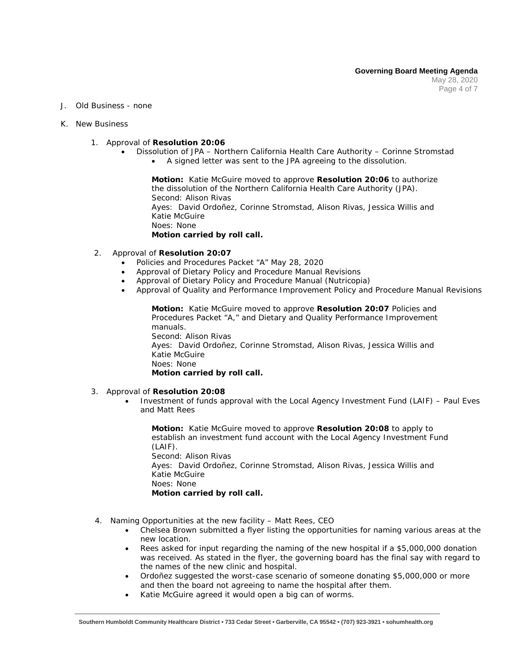- J. Old Business none
- K. New Business
	- 1. Approval of **Resolution 20:06**
		- Dissolution of JPA Northern California Health Care Authority Corinne Stromstad • A signed letter was sent to the JPA agreeing to the dissolution.

**Motion:** Katie McGuire moved to approve **Resolution 20:06** to authorize the dissolution of the Northern California Health Care Authority (JPA). Second: Alison Rivas Ayes: David Ordoñez, Corinne Stromstad, Alison Rivas, Jessica Willis and Katie McGuire Noes: None **Motion carried by roll call.**

- 2. Approval of **Resolution 20:07**
	- Policies and Procedures Packet "A" May 28, 2020
	- Approval of Dietary Policy and Procedure Manual Revisions
	- Approval of Dietary Policy and Procedure Manual (Nutricopia)
	- Approval of Quality and Performance Improvement Policy and Procedure Manual Revisions

**Motion:** Katie McGuire moved to approve **Resolution 20:07** Policies and Procedures Packet "A," and Dietary and Quality Performance Improvement manuals. Second: Alison Rivas Ayes: David Ordoñez, Corinne Stromstad, Alison Rivas, Jessica Willis and Katie McGuire Noes: None **Motion carried by roll call.**

- 3. Approval of **Resolution 20:08**
	- Investment of funds approval with the Local Agency Investment Fund (LAIF) Paul Eves and Matt Rees

**Motion:** Katie McGuire moved to approve **Resolution 20:08** to apply to establish an investment fund account with the Local Agency Investment Fund (LAIF). Second: Alison Rivas Ayes: David Ordoñez, Corinne Stromstad, Alison Rivas, Jessica Willis and Katie McGuire Noes: None **Motion carried by roll call.**

- 4. Naming Opportunities at the new facility Matt Rees, CEO
	- Chelsea Brown submitted a flyer listing the opportunities for naming various areas at the new location.
	- Rees asked for input regarding the naming of the new hospital if a \$5,000,000 donation was received. As stated in the flyer, the governing board has the final say with regard to the names of the new clinic and hospital.
	- Ordoñez suggested the worst-case scenario of someone donating \$5,000,000 or more and then the board not agreeing to name the hospital after them.
	- Katie McGuire agreed it would open a big can of worms.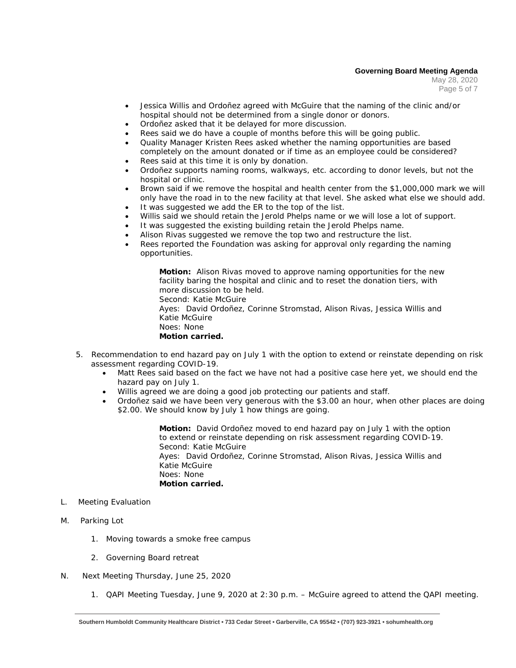### **Governing Board Meeting Agenda**

May 28, 2020 Page 5 of 7

- Jessica Willis and Ordoñez agreed with McGuire that the naming of the clinic and/or hospital should not be determined from a single donor or donors.
- Ordoñez asked that it be delayed for more discussion.
- Rees said we do have a couple of months before this will be going public.
- Quality Manager Kristen Rees asked whether the naming opportunities are based completely on the amount donated or if time as an employee could be considered?
- Rees said at this time it is only by donation.
- Ordoñez supports naming rooms, walkways, etc. according to donor levels, but not the hospital or clinic.
- Brown said if we remove the hospital and health center from the \$1,000,000 mark we will only have the road in to the new facility at that level. She asked what else we should add.
- It was suggested we add the ER to the top of the list.
- Willis said we should retain the Jerold Phelps name or we will lose a lot of support.
- It was suggested the existing building retain the Jerold Phelps name.
- Alison Rivas suggested we remove the top two and restructure the list.
- Rees reported the Foundation was asking for approval only regarding the naming opportunities.

**Motion:** Alison Rivas moved to approve naming opportunities for the new facility baring the hospital and clinic and to reset the donation tiers, with more discussion to be held. Second: Katie McGuire Ayes: David Ordoñez, Corinne Stromstad, Alison Rivas, Jessica Willis and Katie McGuire

Noes: None

**Motion carried.**

- 5. Recommendation to end hazard pay on July 1 with the option to extend or reinstate depending on risk assessment regarding COVID-19.
	- Matt Rees said based on the fact we have not had a positive case here yet, we should end the hazard pay on July 1.
	- Willis agreed we are doing a good job protecting our patients and staff.
	- Ordoñez said we have been very generous with the \$3.00 an hour, when other places are doing \$2.00. We should know by July 1 how things are going.

**Motion:** David Ordoñez moved to end hazard pay on July 1 with the option to extend or reinstate depending on risk assessment regarding COVID-19. Second: Katie McGuire Ayes: David Ordoñez, Corinne Stromstad, Alison Rivas, Jessica Willis and Katie McGuire Noes: None **Motion carried.**

- L. Meeting Evaluation
- M. Parking Lot
	- 1. Moving towards a smoke free campus
	- 2. Governing Board retreat
- N. Next Meeting Thursday, June 25, 2020
	- 1. QAPI Meeting Tuesday, June 9, 2020 at 2:30 p.m. McGuire agreed to attend the QAPI meeting.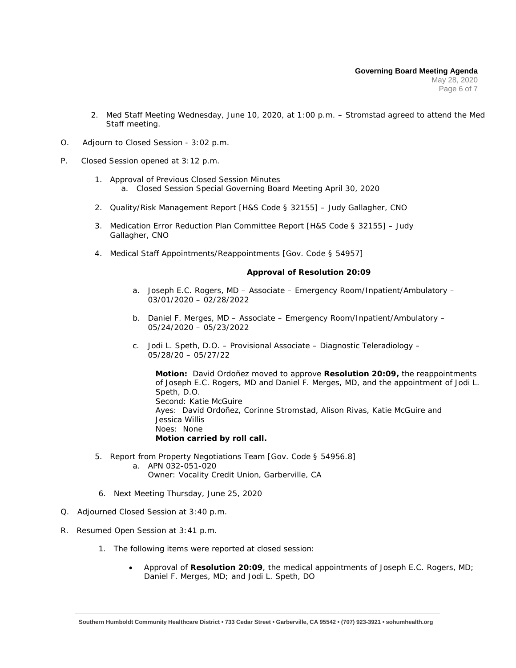- 2. Med Staff Meeting Wednesday, June 10, 2020, at 1:00 p.m. Stromstad agreed to attend the Med Staff meeting.
- O. Adjourn to Closed Session 3:02 p.m.
- P. Closed Session opened at 3:12 p.m.
	- 1. Approval of Previous Closed Session Minutes a. Closed Session Special Governing Board Meeting April 30, 2020
	- 2. Quality/Risk Management Report [H&S Code § 32155] Judy Gallagher, CNO
	- 3. Medication Error Reduction Plan Committee Report [H&S Code § 32155] Judy Gallagher, CNO
	- 4. Medical Staff Appointments/Reappointments [Gov. Code § 54957]

#### **Approval of Resolution 20:09**

- a. Joseph E.C. Rogers, MD Associate Emergency Room/Inpatient/Ambulatory 03/01/2020 – 02/28/2022
- b. Daniel F. Merges, MD Associate Emergency Room/Inpatient/Ambulatory 05/24/2020 – 05/23/2022
- c. Jodi L. Speth, D.O. Provisional Associate Diagnostic Teleradiology 05/28/20 – 05/27/22

**Motion:** David Ordoñez moved to approve **Resolution 20:09,** the reappointments of Joseph E.C. Rogers, MD and Daniel F. Merges, MD, and the appointment of Jodi L. Speth, D.O. Second: Katie McGuire Ayes: David Ordoñez, Corinne Stromstad, Alison Rivas, Katie McGuire and Jessica Willis Noes: None **Motion carried by roll call.**

- 5. Report from Property Negotiations Team [Gov. Code § 54956.8]
	- a. APN 032-051-020 Owner: Vocality Credit Union, Garberville, CA
- 6. Next Meeting Thursday, June 25, 2020
- Q. Adjourned Closed Session at 3:40 p.m.
- R. Resumed Open Session at 3:41 p.m.
	- 1. The following items were reported at closed session:
		- Approval of **Resolution 20:09**, the medical appointments of Joseph E.C. Rogers, MD; Daniel F. Merges, MD; and Jodi L. Speth, DO